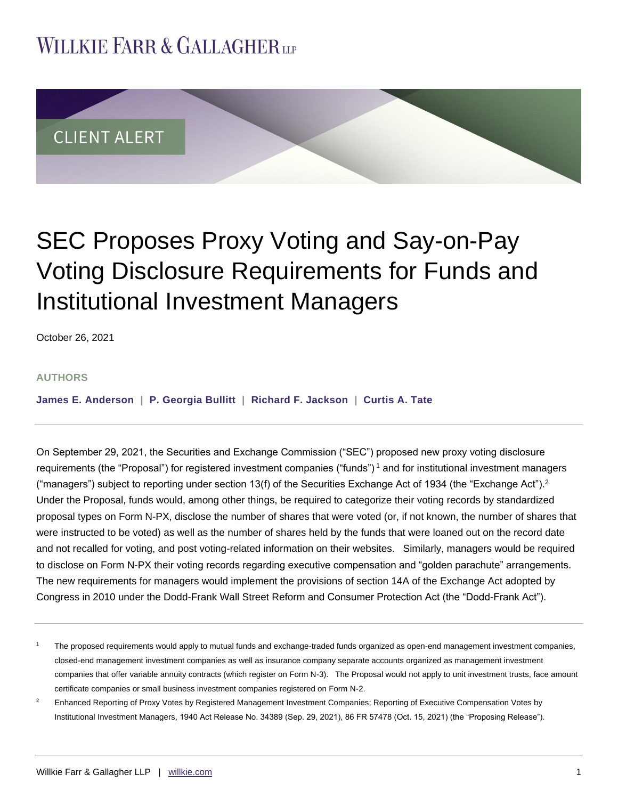## **WILLKIE FARR & GALLAGHERUP**



# SEC Proposes Proxy Voting and Say-on-Pay Voting Disclosure Requirements for Funds and Institutional Investment Managers

October 26, 2021

#### **AUTHORS**

**[James E. Anderson](https://www.willkie.com/professionals/a/anderson-james) | [P. Georgia Bullitt](https://www.willkie.com/professionals/b/bullitt-georgia) | [Richard F. Jackson](https://www.willkie.com/professionals/j/jackson-richard) | [Curtis A. Tate](https://www.willkie.com/professionals/t/tatecurtisa)**

On September 29, 2021, the Securities and Exchange Commission ("SEC") proposed new proxy voting disclosure requirements (the "Proposal") for registered investment companies ("funds") <sup>1</sup> and for institutional investment managers ("managers") subject to reporting under section 13(f) of the Securities Exchange Act of 1934 (the "Exchange Act").<sup>2</sup> Under the Proposal, funds would, among other things, be required to categorize their voting records by standardized proposal types on Form N-PX, disclose the number of shares that were voted (or, if not known, the number of shares that were instructed to be voted) as well as the number of shares held by the funds that were loaned out on the record date and not recalled for voting, and post voting-related information on their websites. Similarly, managers would be required to disclose on Form N-PX their voting records regarding executive compensation and "golden parachute" arrangements. The new requirements for managers would implement the provisions of section 14A of the Exchange Act adopted by Congress in 2010 under the Dodd-Frank Wall Street Reform and Consumer Protection Act (the "Dodd-Frank Act").

The proposed requirements would apply to mutual funds and exchange-traded funds organized as open-end management investment companies, closed-end management investment companies as well as insurance company separate accounts organized as management investment companies that offer variable annuity contracts (which register on Form N-3). The Proposal would not apply to unit investment trusts, face amount certificate companies or small business investment companies registered on Form N-2.

<sup>&</sup>lt;sup>2</sup> Enhanced Reporting of Proxy Votes by Registered Management Investment Companies; Reporting of Executive Compensation Votes by Institutional Investment Managers, 1940 Act Release No. 34389 (Sep. 29, 2021), 86 FR 57478 (Oct. 15, 2021) (the "Proposing Release").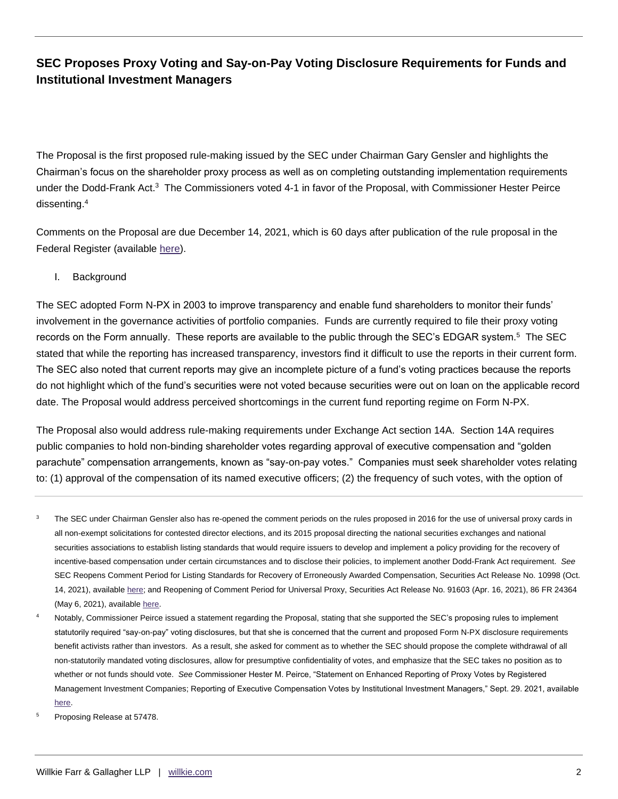The Proposal is the first proposed rule-making issued by the SEC under Chairman Gary Gensler and highlights the Chairman's focus on the shareholder proxy process as well as on completing outstanding implementation requirements under the Dodd-Frank Act.<sup>3</sup> The Commissioners voted 4-1 in favor of the Proposal, with Commissioner Hester Peirce dissenting.<sup>4</sup>

Comments on the Proposal are due December 14, 2021, which is 60 days after publication of the rule proposal in the Federal Register (available [here\)](https://www.govinfo.gov/content/pkg/FR-2021-10-15/pdf/2021-21549.pdf).

#### I. Background

The SEC adopted Form N-PX in 2003 to improve transparency and enable fund shareholders to monitor their funds' involvement in the governance activities of portfolio companies. Funds are currently required to file their proxy voting records on the Form annually. These reports are available to the public through the SEC's EDGAR system.<sup>5</sup> The SEC stated that while the reporting has increased transparency, investors find it difficult to use the reports in their current form. The SEC also noted that current reports may give an incomplete picture of a fund's voting practices because the reports do not highlight which of the fund's securities were not voted because securities were out on loan on the applicable record date. The Proposal would address perceived shortcomings in the current fund reporting regime on Form N-PX.

The Proposal also would address rule-making requirements under Exchange Act section 14A. Section 14A requires public companies to hold non-binding shareholder votes regarding approval of executive compensation and "golden parachute" compensation arrangements, known as "say-on-pay votes." Companies must seek shareholder votes relating to: (1) approval of the compensation of its named executive officers; (2) the frequency of such votes, with the option of

- <sup>3</sup> The SEC under Chairman Gensler also has re-opened the comment periods on the rules proposed in 2016 for the use of universal proxy cards in all non-exempt solicitations for contested director elections, and its 2015 proposal directing the national securities exchanges and national securities associations to establish listing standards that would require issuers to develop and implement a policy providing for the recovery of incentive-based compensation under certain circumstances and to disclose their policies, to implement another Dodd-Frank Act requirement. *See* SEC Reopens Comment Period for Listing Standards for Recovery of Erroneously Awarded Compensation, Securities Act Release No. 10998 (Oct. 14, 2021), available [here;](https://www.sec.gov/rules/proposed/2021/33-10998.pdf) and Reopening of Comment Period for Universal Proxy, Securities Act Release No. 91603 (Apr. 16, 2021), 86 FR 24364 (May 6, 2021), availabl[e here.](https://www.govinfo.gov/content/pkg/FR-2021-05-06/pdf/2021-08301.pdf)
- Notably, Commissioner Peirce issued a statement regarding the Proposal, stating that she supported the SEC's proposing rules to implement statutorily required "say-on-pay" voting disclosures, but that she is concerned that the current and proposed Form N-PX disclosure requirements benefit activists rather than investors. As a result, she asked for comment as to whether the SEC should propose the complete withdrawal of all non-statutorily mandated voting disclosures, allow for presumptive confidentiality of votes, and emphasize that the SEC takes no position as to whether or not funds should vote. *See* Commissioner Hester M. Peirce, "Statement on Enhanced Reporting of Proxy Votes by Registered Management Investment Companies; Reporting of Executive Compensation Votes by Institutional Investment Managers," Sept. 29. 2021, available [here.](https://www.sec.gov/news/public-statement/peirce-open-meeting-2021-09-29)
- <sup>5</sup> Proposing Release at 57478.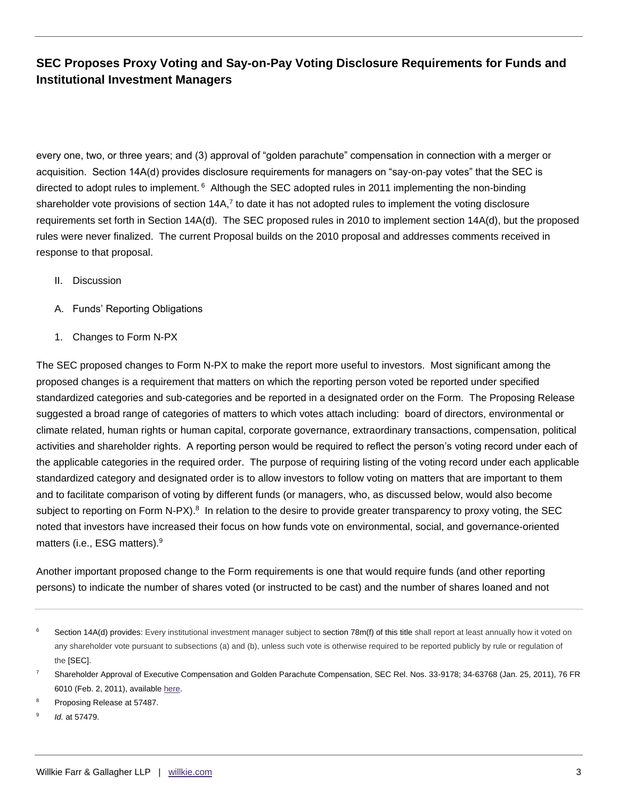every one, two, or three years; and (3) approval of "golden parachute" compensation in connection with a merger or acquisition. Section 14A(d) provides disclosure requirements for managers on "say-on-pay votes" that the SEC is directed to adopt rules to implement. <sup>6</sup> Although the SEC adopted rules in 2011 implementing the non-binding shareholder vote provisions of section  $14A$ ,<sup>7</sup> to date it has not adopted rules to implement the voting disclosure requirements set forth in Section 14A(d). The SEC proposed rules in 2010 to implement section 14A(d), but the proposed rules were never finalized. The current Proposal builds on the 2010 proposal and addresses comments received in response to that proposal.

- II. Discussion
- A. Funds' Reporting Obligations
- 1. Changes to Form N-PX

The SEC proposed changes to Form N-PX to make the report more useful to investors. Most significant among the proposed changes is a requirement that matters on which the reporting person voted be reported under specified standardized categories and sub-categories and be reported in a designated order on the Form. The Proposing Release suggested a broad range of categories of matters to which votes attach including: board of directors, environmental or climate related, human rights or human capital, corporate governance, extraordinary transactions, compensation, political activities and shareholder rights. A reporting person would be required to reflect the person's voting record under each of the applicable categories in the required order. The purpose of requiring listing of the voting record under each applicable standardized category and designated order is to allow investors to follow voting on matters that are important to them and to facilitate comparison of voting by different funds (or managers, who, as discussed below, would also become subject to reporting on Form N-PX).<sup>8</sup> In relation to the desire to provide greater transparency to proxy voting, the SEC noted that investors have increased their focus on how funds vote on environmental, social, and governance-oriented matters (i.e., ESG matters).<sup>9</sup>

Another important proposed change to the Form requirements is one that would require funds (and other reporting persons) to indicate the number of shares voted (or instructed to be cast) and the number of shares loaned and not

- Proposing Release at 57487.
- 9 *Id.* at 57479.

<sup>&</sup>lt;sup>6</sup> Section 14A(d) provides: Every institutional investment manager subject to section 78m(f) of this title shall report at least annually how it voted on any shareholder vote pursuant to subsections (a) and (b), unless such vote is otherwise required to be reported publicly by rule or regulation of the [SEC].

<sup>7</sup> Shareholder Approval of Executive Compensation and Golden Parachute Compensation, SEC Rel. Nos. 33-9178; 34-63768 (Jan. 25, 2011), 76 FR 6010 (Feb. 2, 2011), availabl[e here.](https://www.sec.gov/rules/final/2011/33-9178fr.pdf)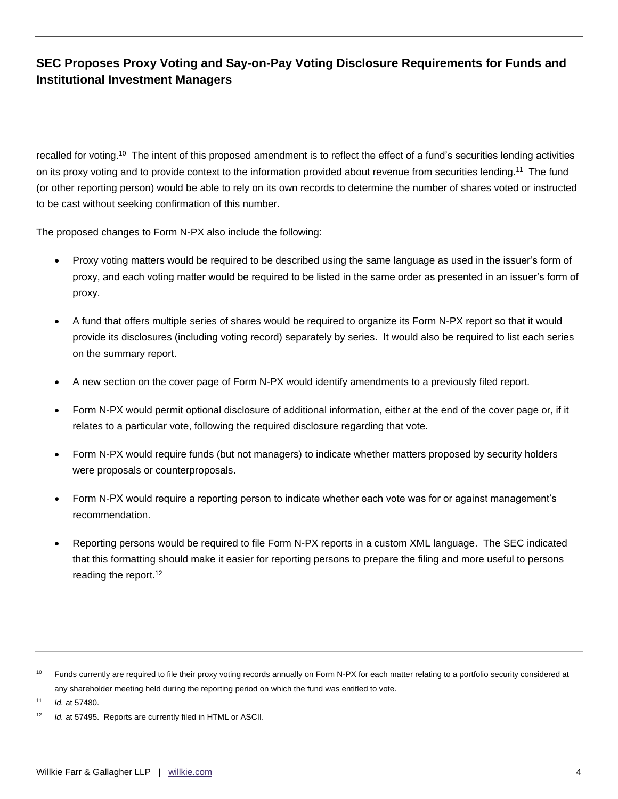recalled for voting.<sup>10</sup> The intent of this proposed amendment is to reflect the effect of a fund's securities lending activities on its proxy voting and to provide context to the information provided about revenue from securities lending.<sup>11</sup> The fund (or other reporting person) would be able to rely on its own records to determine the number of shares voted or instructed to be cast without seeking confirmation of this number.

The proposed changes to Form N-PX also include the following:

- Proxy voting matters would be required to be described using the same language as used in the issuer's form of proxy, and each voting matter would be required to be listed in the same order as presented in an issuer's form of proxy.
- A fund that offers multiple series of shares would be required to organize its Form N-PX report so that it would provide its disclosures (including voting record) separately by series. It would also be required to list each series on the summary report.
- A new section on the cover page of Form N-PX would identify amendments to a previously filed report.
- Form N-PX would permit optional disclosure of additional information, either at the end of the cover page or, if it relates to a particular vote, following the required disclosure regarding that vote.
- Form N-PX would require funds (but not managers) to indicate whether matters proposed by security holders were proposals or counterproposals.
- Form N-PX would require a reporting person to indicate whether each vote was for or against management's recommendation.
- Reporting persons would be required to file Form N-PX reports in a custom XML language. The SEC indicated that this formatting should make it easier for reporting persons to prepare the filing and more useful to persons reading the report.<sup>12</sup>

<sup>11</sup> *Id.* at 57480.

<sup>&</sup>lt;sup>10</sup> Funds currently are required to file their proxy voting records annually on Form N-PX for each matter relating to a portfolio security considered at any shareholder meeting held during the reporting period on which the fund was entitled to vote.

<sup>&</sup>lt;sup>12</sup> *Id.* at 57495. Reports are currently filed in HTML or ASCII.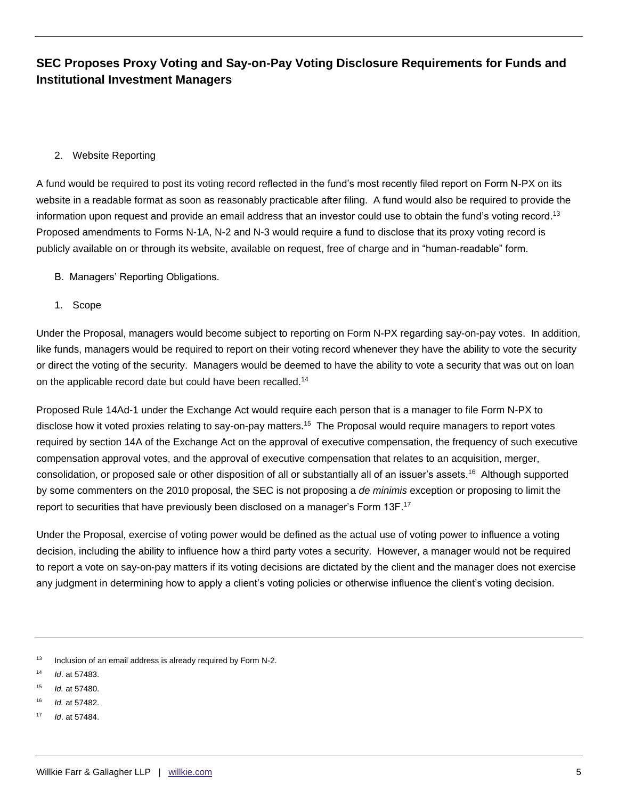#### 2. Website Reporting

A fund would be required to post its voting record reflected in the fund's most recently filed report on Form N-PX on its website in a readable format as soon as reasonably practicable after filing. A fund would also be required to provide the information upon request and provide an email address that an investor could use to obtain the fund's voting record.<sup>13</sup> Proposed amendments to Forms N-1A, N-2 and N-3 would require a fund to disclose that its proxy voting record is publicly available on or through its website, available on request, free of charge and in "human-readable" form.

- B. Managers' Reporting Obligations.
- 1. Scope

Under the Proposal, managers would become subject to reporting on Form N-PX regarding say-on-pay votes. In addition, like funds, managers would be required to report on their voting record whenever they have the ability to vote the security or direct the voting of the security. Managers would be deemed to have the ability to vote a security that was out on loan on the applicable record date but could have been recalled.<sup>14</sup>

Proposed Rule 14Ad-1 under the Exchange Act would require each person that is a manager to file Form N-PX to disclose how it voted proxies relating to say-on-pay matters.<sup>15</sup> The Proposal would require managers to report votes required by section 14A of the Exchange Act on the approval of executive compensation, the frequency of such executive compensation approval votes, and the approval of executive compensation that relates to an acquisition, merger, consolidation, or proposed sale or other disposition of all or substantially all of an issuer's assets.<sup>16</sup> Although supported by some commenters on the 2010 proposal, the SEC is not proposing a *de minimis* exception or proposing to limit the report to securities that have previously been disclosed on a manager's Form 13F.<sup>17</sup>

Under the Proposal, exercise of voting power would be defined as the actual use of voting power to influence a voting decision, including the ability to influence how a third party votes a security. However, a manager would not be required to report a vote on say-on-pay matters if its voting decisions are dictated by the client and the manager does not exercise any judgment in determining how to apply a client's voting policies or otherwise influence the client's voting decision.

<sup>13</sup> Inclusion of an email address is already required by Form N-2.

- <sup>14</sup> *Id*. at 57483.
- <sup>15</sup> *Id.* at 57480.
- <sup>16</sup> *Id.* at 57482.
- <sup>17</sup> *Id*. at 57484.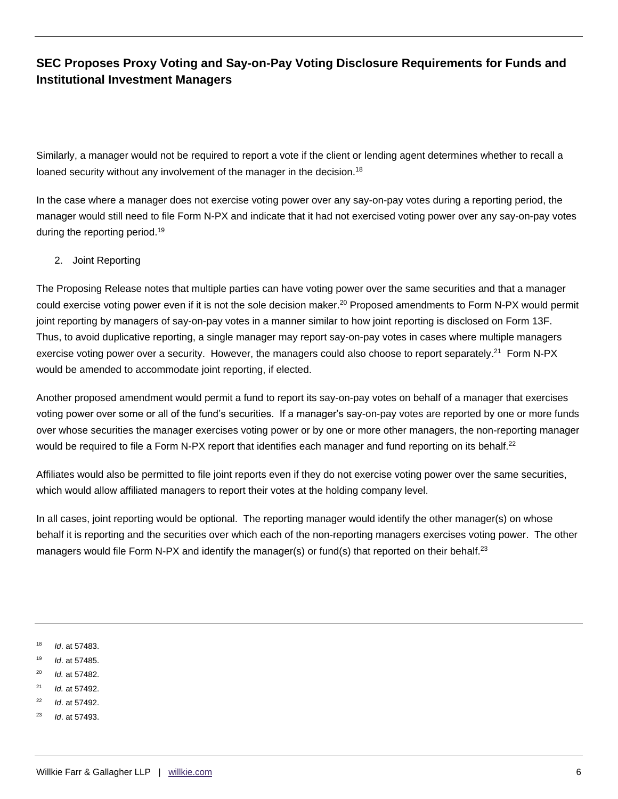Similarly, a manager would not be required to report a vote if the client or lending agent determines whether to recall a loaned security without any involvement of the manager in the decision.<sup>18</sup>

In the case where a manager does not exercise voting power over any say-on-pay votes during a reporting period, the manager would still need to file Form N-PX and indicate that it had not exercised voting power over any say-on-pay votes during the reporting period.<sup>19</sup>

#### 2. Joint Reporting

The Proposing Release notes that multiple parties can have voting power over the same securities and that a manager could exercise voting power even if it is not the sole decision maker.<sup>20</sup> Proposed amendments to Form N-PX would permit joint reporting by managers of say-on-pay votes in a manner similar to how joint reporting is disclosed on Form 13F. Thus, to avoid duplicative reporting, a single manager may report say-on-pay votes in cases where multiple managers exercise voting power over a security. However, the managers could also choose to report separately.<sup>21</sup> Form N-PX would be amended to accommodate joint reporting, if elected.

Another proposed amendment would permit a fund to report its say-on-pay votes on behalf of a manager that exercises voting power over some or all of the fund's securities. If a manager's say-on-pay votes are reported by one or more funds over whose securities the manager exercises voting power or by one or more other managers, the non-reporting manager would be required to file a Form N-PX report that identifies each manager and fund reporting on its behalf.<sup>22</sup>

Affiliates would also be permitted to file joint reports even if they do not exercise voting power over the same securities, which would allow affiliated managers to report their votes at the holding company level.

In all cases, joint reporting would be optional. The reporting manager would identify the other manager(s) on whose behalf it is reporting and the securities over which each of the non-reporting managers exercises voting power. The other managers would file Form N-PX and identify the manager(s) or fund(s) that reported on their behalf.<sup>23</sup>

<sup>18</sup> *Id*. at 57483.

<sup>19</sup> *Id*. at 57485.

- <sup>20</sup> *Id.* at 57482.
- <sup>21</sup> *Id.* at 57492.
- <sup>22</sup> *Id*. at 57492.
- <sup>23</sup> *Id*. at 57493.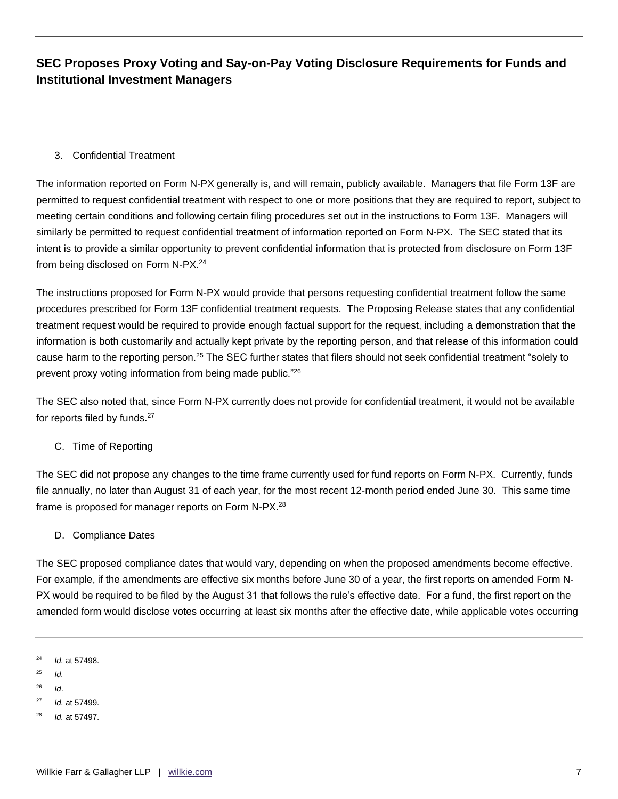#### 3. Confidential Treatment

The information reported on Form N-PX generally is, and will remain, publicly available. Managers that file Form 13F are permitted to request confidential treatment with respect to one or more positions that they are required to report, subject to meeting certain conditions and following certain filing procedures set out in the instructions to Form 13F. Managers will similarly be permitted to request confidential treatment of information reported on Form N-PX. The SEC stated that its intent is to provide a similar opportunity to prevent confidential information that is protected from disclosure on Form 13F from being disclosed on Form N-PX.<sup>24</sup>

The instructions proposed for Form N-PX would provide that persons requesting confidential treatment follow the same procedures prescribed for Form 13F confidential treatment requests. The Proposing Release states that any confidential treatment request would be required to provide enough factual support for the request, including a demonstration that the information is both customarily and actually kept private by the reporting person, and that release of this information could cause harm to the reporting person.<sup>25</sup> The SEC further states that filers should not seek confidential treatment "solely to prevent proxy voting information from being made public."<sup>26</sup>

The SEC also noted that, since Form N-PX currently does not provide for confidential treatment, it would not be available for reports filed by funds.<sup>27</sup>

C. Time of Reporting

The SEC did not propose any changes to the time frame currently used for fund reports on Form N-PX. Currently, funds file annually, no later than August 31 of each year, for the most recent 12-month period ended June 30. This same time frame is proposed for manager reports on Form N-PX.<sup>28</sup>

D. Compliance Dates

The SEC proposed compliance dates that would vary, depending on when the proposed amendments become effective. For example, if the amendments are effective six months before June 30 of a year, the first reports on amended Form N-PX would be required to be filed by the August 31 that follows the rule's effective date. For a fund, the first report on the amended form would disclose votes occurring at least six months after the effective date, while applicable votes occurring

- <sup>25</sup> *Id.*
- <sup>26</sup> *Id*.
- <sup>27</sup> *Id.* at 57499.
- <sup>28</sup> *Id.* at 57497.

<sup>24</sup> *Id.* at 57498.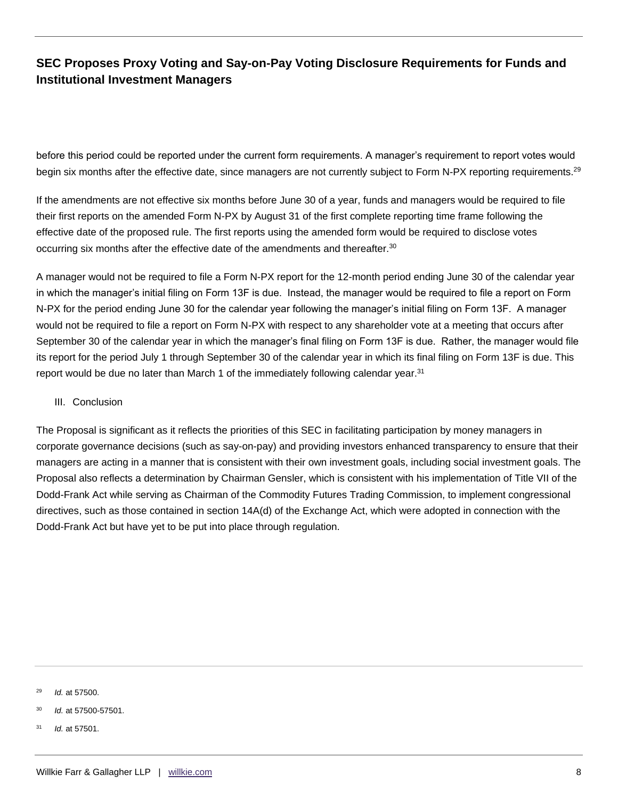before this period could be reported under the current form requirements. A manager's requirement to report votes would begin six months after the effective date, since managers are not currently subject to Form N-PX reporting requirements.<sup>29</sup>

If the amendments are not effective six months before June 30 of a year, funds and managers would be required to file their first reports on the amended Form N-PX by August 31 of the first complete reporting time frame following the effective date of the proposed rule. The first reports using the amended form would be required to disclose votes occurring six months after the effective date of the amendments and thereafter.<sup>30</sup>

A manager would not be required to file a Form N-PX report for the 12-month period ending June 30 of the calendar year in which the manager's initial filing on Form 13F is due. Instead, the manager would be required to file a report on Form N-PX for the period ending June 30 for the calendar year following the manager's initial filing on Form 13F. A manager would not be required to file a report on Form N-PX with respect to any shareholder vote at a meeting that occurs after September 30 of the calendar year in which the manager's final filing on Form 13F is due. Rather, the manager would file its report for the period July 1 through September 30 of the calendar year in which its final filing on Form 13F is due. This report would be due no later than March 1 of the immediately following calendar year.<sup>31</sup>

#### III. Conclusion

The Proposal is significant as it reflects the priorities of this SEC in facilitating participation by money managers in corporate governance decisions (such as say-on-pay) and providing investors enhanced transparency to ensure that their managers are acting in a manner that is consistent with their own investment goals, including social investment goals. The Proposal also reflects a determination by Chairman Gensler, which is consistent with his implementation of Title VII of the Dodd-Frank Act while serving as Chairman of the Commodity Futures Trading Commission, to implement congressional directives, such as those contained in section 14A(d) of the Exchange Act, which were adopted in connection with the Dodd-Frank Act but have yet to be put into place through regulation.

<sup>29</sup> *Id.* at 57500.

<sup>31</sup> *Id.* at 57501.

<sup>30</sup> *Id.* at 57500-57501.